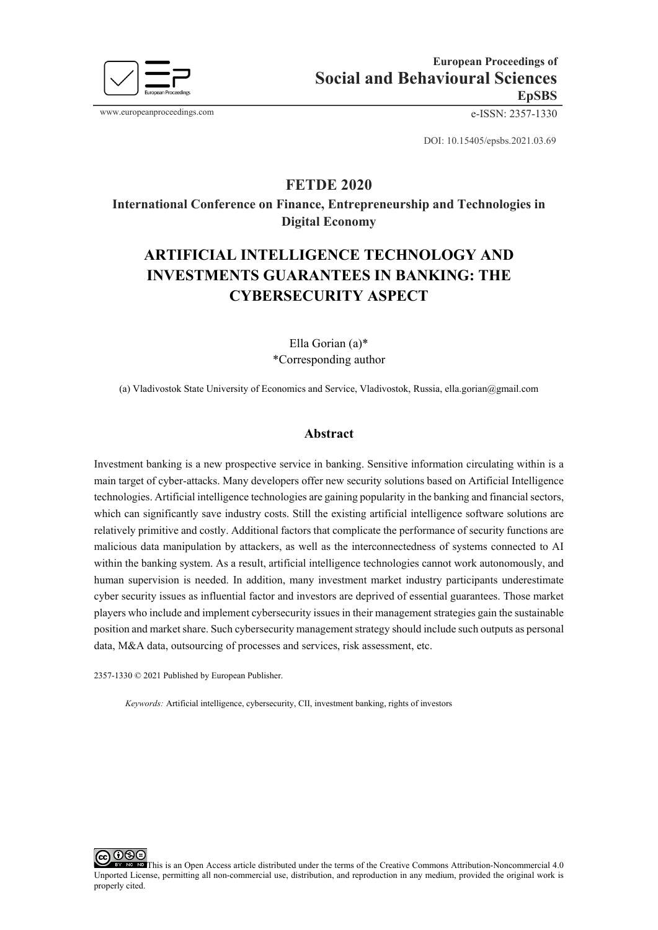

www.europeanproceedings.com e-ISSN: 2357-1330

DOI: 10.15405/epsbs.2021.03.69

## **FETDE 2020**

**International Conference on Finance, Entrepreneurship and Technologies in Digital Economy**

# **ARTIFICIAL INTELLIGENCE TECHNOLOGY AND INVESTMENTS GUARANTEES IN BANKING: THE CYBERSECURITY ASPECT**

Ella Gorian (a)\* \*Corresponding author

(a) Vladivostok State University of Economics and Service, Vladivostok, Russia, ella.gorian@gmail.com

#### **Abstract**

Investment banking is a new prospective service in banking. Sensitive information circulating within is a main target of cyber-attacks. Many developers offer new security solutions based on Artificial Intelligence technologies. Artificial intelligence technologies are gaining popularity in the banking and financial sectors, which can significantly save industry costs. Still the existing artificial intelligence software solutions are relatively primitive and costly. Additional factors that complicate the performance of security functions are malicious data manipulation by attackers, as well as the interconnectedness of systems connected to AI within the banking system. As a result, artificial intelligence technologies cannot work autonomously, and human supervision is needed. In addition, many investment market industry participants underestimate cyber security issues as influential factor and investors are deprived of essential guarantees. Those market players who include and implement cybersecurity issues in their management strategies gain the sustainable position and market share. Such cybersecurity management strategy should include such outputs as personal data, M&A data, outsourcing of processes and services, risk assessment, etc.

2357-1330 © 2021 Published by European Publisher.

*Keywords:* Artificial intelligence, cybersecurity, CII, investment banking, rights of investors

ාශල This is an Open Access article distributed under the terms of the Creative Commons Attribution-Noncommercial 4.0 Unported License, permitting all non-commercial use, distribution, and reproduction in any medium, provided the original work is properly cited.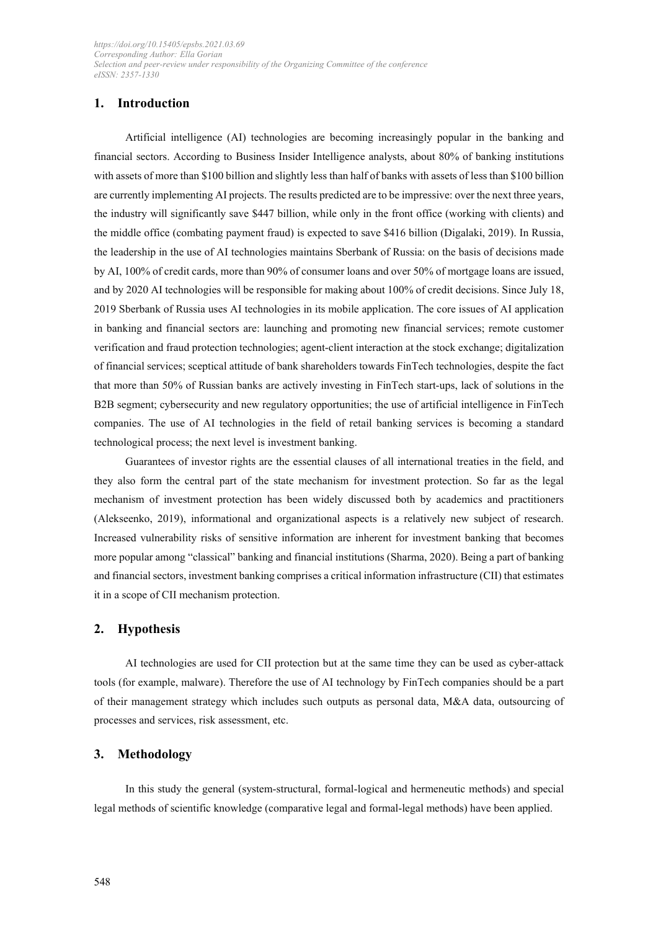## **1. Introduction**

Artificial intelligence (AI) technologies are becoming increasingly popular in the banking and financial sectors. According to Business Insider Intelligence analysts, about 80% of banking institutions with assets of more than \$100 billion and slightly less than half of banks with assets of less than \$100 billion are currently implementing AI projects. The results predicted are to be impressive: over the next three years, the industry will significantly save \$447 billion, while only in the front office (working with clients) and the middle office (combating payment fraud) is expected to save \$416 billion (Digalaki, 2019). In Russia, the leadership in the use of AI technologies maintains Sberbank of Russia: on the basis of decisions made by AI, 100% of credit cards, more than 90% of consumer loans and over 50% of mortgage loans are issued, and by 2020 AI technologies will be responsible for making about 100% of credit decisions. Since July 18, 2019 Sberbank of Russia uses AI technologies in its mobile application. The core issues of AI application in banking and financial sectors are: launching and promoting new financial services; remote customer verification and fraud protection technologies; agent-client interaction at the stock exchange; digitalization of financial services; sceptical attitude of bank shareholders towards FinTech technologies, despite the fact that more than 50% of Russian banks are actively investing in FinTech start-ups, lack of solutions in the B2B segment; cybersecurity and new regulatory opportunities; the use of artificial intelligence in FinTech companies. The use of AI technologies in the field of retail banking services is becoming a standard technological process; the next level is investment banking.

Guarantees of investor rights are the essential clauses of all international treaties in the field, and they also form the central part of the state mechanism for investment protection. So far as the legal mechanism of investment protection has been widely discussed both by academics and practitioners (Alekseenko, 2019), informational and organizational aspects is a relatively new subject of research. Increased vulnerability risks of sensitive information are inherent for investment banking that becomes more popular among "classical" banking and financial institutions (Sharma, 2020). Being a part of banking and financial sectors, investment banking comprises a critical information infrastructure (CII) that estimates it in a scope of CII mechanism protection.

#### **2. Hypothesis**

AI technologies are used for CII protection but at the same time they can be used as cyber-attack tools (for example, malware). Therefore the use of AI technology by FinTech companies should be a part of their management strategy which includes such outputs as personal data, M&A data, outsourcing of processes and services, risk assessment, etc.

## **3. Methodology**

In this study the general (system-structural, formal-logical and hermeneutic methods) and special legal methods of scientific knowledge (comparative legal and formal-legal methods) have been applied.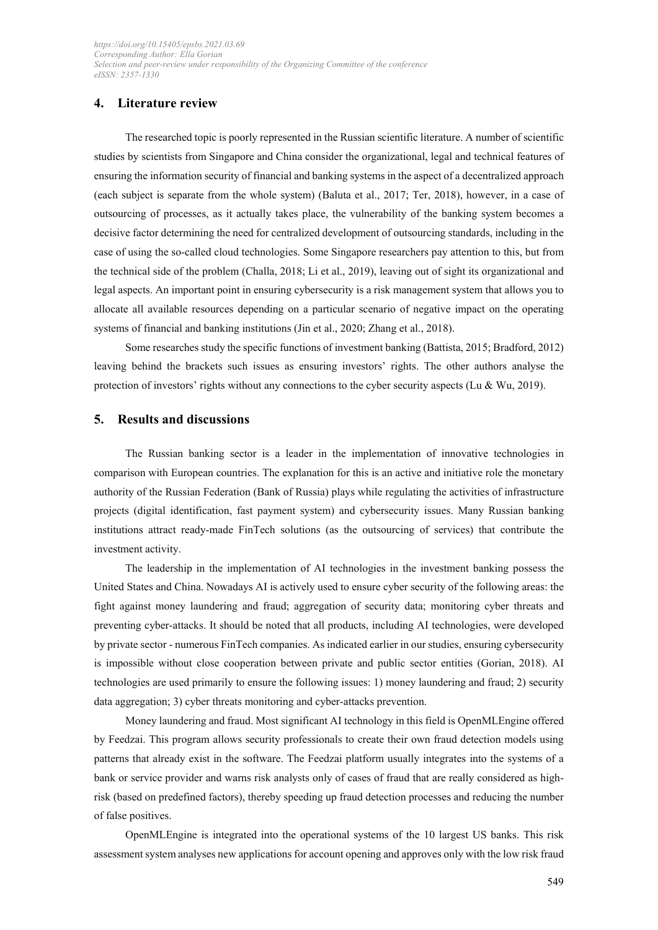## **4. Literature review**

The researched topic is poorly represented in the Russian scientific literature. A number of scientific studies by scientists from Singapore and China consider the organizational, legal and technical features of ensuring the information security of financial and banking systems in the aspect of a decentralized approach (each subject is separate from the whole system) (Baluta et al., 2017; Ter, 2018), however, in a case of outsourcing of processes, as it actually takes place, the vulnerability of the banking system becomes a decisive factor determining the need for centralized development of outsourcing standards, including in the case of using the so-called cloud technologies. Some Singapore researchers pay attention to this, but from the technical side of the problem (Challa, 2018; Li et al., 2019), leaving out of sight its organizational and legal aspects. An important point in ensuring cybersecurity is a risk management system that allows you to allocate all available resources depending on a particular scenario of negative impact on the operating systems of financial and banking institutions (Jin et al., 2020; Zhang et al., 2018).

Some researches study the specific functions of investment banking (Battista, 2015; Bradford, 2012) leaving behind the brackets such issues as ensuring investors' rights. The other authors analyse the protection of investors' rights without any connections to the cyber security aspects (Lu & Wu, 2019).

## **5. Results and discussions**

The Russian banking sector is a leader in the implementation of innovative technologies in comparison with European countries. The explanation for this is an active and initiative role the monetary authority of the Russian Federation (Bank of Russia) plays while regulating the activities of infrastructure projects (digital identification, fast payment system) and cybersecurity issues. Many Russian banking institutions attract ready-made FinTech solutions (as the outsourcing of services) that contribute the investment activity.

The leadership in the implementation of AI technologies in the investment banking possess the United States and China. Nowadays AI is actively used to ensure cyber security of the following areas: the fight against money laundering and fraud; aggregation of security data; monitoring cyber threats and preventing cyber-attacks. It should be noted that all products, including AI technologies, were developed by private sector - numerous FinTech companies. As indicated earlier in our studies, ensuring cybersecurity is impossible without close cooperation between private and public sector entities (Gorian, 2018). AI technologies are used primarily to ensure the following issues: 1) money laundering and fraud; 2) security data aggregation; 3) cyber threats monitoring and cyber-attacks prevention.

Money laundering and fraud. Most significant AI technology in this field is OpenMLEngine offered by Feedzai. This program allows security professionals to create their own fraud detection models using patterns that already exist in the software. The Feedzai platform usually integrates into the systems of a bank or service provider and warns risk analysts only of cases of fraud that are really considered as highrisk (based on predefined factors), thereby speeding up fraud detection processes and reducing the number of false positives.

OpenMLEngine is integrated into the operational systems of the 10 largest US banks. This risk assessment system analyses new applications for account opening and approves only with the low risk fraud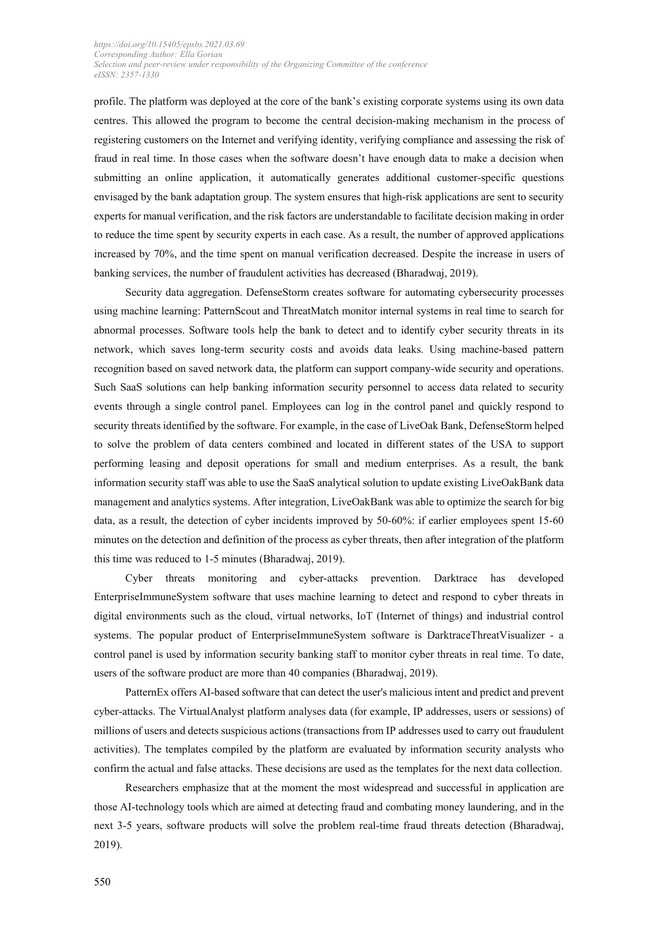profile. The platform was deployed at the core of the bank's existing corporate systems using its own data centres. This allowed the program to become the central decision-making mechanism in the process of registering customers on the Internet and verifying identity, verifying compliance and assessing the risk of fraud in real time. In those cases when the software doesn't have enough data to make a decision when submitting an online application, it automatically generates additional customer-specific questions envisaged by the bank adaptation group. The system ensures that high-risk applications are sent to security experts for manual verification, and the risk factors are understandable to facilitate decision making in order to reduce the time spent by security experts in each case. As a result, the number of approved applications increased by 70%, and the time spent on manual verification decreased. Despite the increase in users of banking services, the number of fraudulent activities has decreased (Bharadwaj, 2019).

Security data aggregation. DefenseStorm creates software for automating cybersecurity processes using machine learning: PatternScout and ThreatMatch monitor internal systems in real time to search for abnormal processes. Software tools help the bank to detect and to identify cyber security threats in its network, which saves long-term security costs and avoids data leaks. Using machine-based pattern recognition based on saved network data, the platform can support company-wide security and operations. Such SaaS solutions can help banking information security personnel to access data related to security events through a single control panel. Employees can log in the control panel and quickly respond to security threats identified by the software. For example, in the case of LiveOak Bank, DefenseStorm helped to solve the problem of data centers combined and located in different states of the USA to support performing leasing and deposit operations for small and medium enterprises. As a result, the bank information security staff was able to use the SaaS analytical solution to update existing LiveOakBank data management and analytics systems. After integration, LiveOakBank was able to optimize the search for big data, as a result, the detection of cyber incidents improved by 50-60%: if earlier employees spent 15-60 minutes on the detection and definition of the process as cyber threats, then after integration of the platform this time was reduced to 1-5 minutes (Bharadwaj, 2019).

Cyber threats monitoring and cyber-attacks prevention. Darktrace has developed EnterpriseImmuneSystem software that uses machine learning to detect and respond to cyber threats in digital environments such as the cloud, virtual networks, IoT (Internet of things) and industrial control systems. The popular product of EnterpriseImmuneSystem software is DarktraceThreatVisualizer - a control panel is used by information security banking staff to monitor cyber threats in real time. To date, users of the software product are more than 40 companies (Bharadwaj, 2019).

PatternEx offers AI-based software that can detect the user's malicious intent and predict and prevent cyber-attacks. The VirtualAnalyst platform analyses data (for example, IP addresses, users or sessions) of millions of users and detects suspicious actions (transactions from IP addresses used to carry out fraudulent activities). The templates compiled by the platform are evaluated by information security analysts who confirm the actual and false attacks. These decisions are used as the templates for the next data collection.

Researchers emphasize that at the moment the most widespread and successful in application are those AI-technology tools which are aimed at detecting fraud and combating money laundering, and in the next 3-5 years, software products will solve the problem real-time fraud threats detection (Bharadwaj, 2019).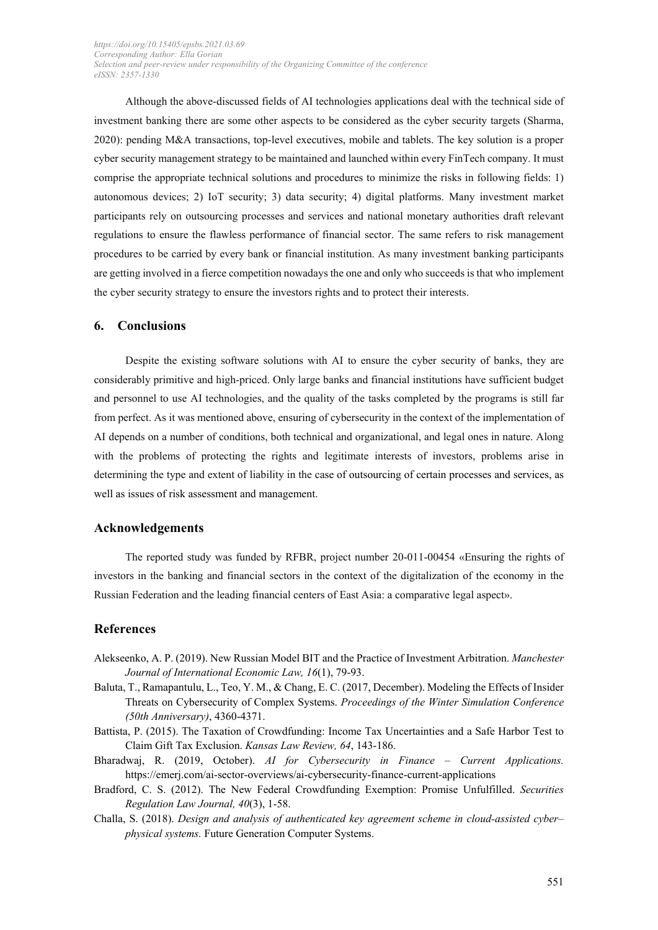Although the above-discussed fields of AI technologies applications deal with the technical side of investment banking there are some other aspects to be considered as the cyber security targets (Sharma, 2020): pending M&A transactions, top-level executives, mobile and tablets. The key solution is a proper cyber security management strategy to be maintained and launched within every FinTech company. It must comprise the appropriate technical solutions and procedures to minimize the risks in following fields: 1) autonomous devices; 2) IoT security; 3) data security; 4) digital platforms. Many investment market participants rely on outsourcing processes and services and national monetary authorities draft relevant regulations to ensure the flawless performance of financial sector. The same refers to risk management procedures to be carried by every bank or financial institution. As many investment banking participants are getting involved in a fierce competition nowadays the one and only who succeeds is that who implement the cyber security strategy to ensure the investors rights and to protect their interests.

## **6. Conclusions**

Despite the existing software solutions with AI to ensure the cyber security of banks, they are considerably primitive and high-priced. Only large banks and financial institutions have sufficient budget and personnel to use AI technologies, and the quality of the tasks completed by the programs is still far from perfect. As it was mentioned above, ensuring of cybersecurity in the context of the implementation of AI depends on a number of conditions, both technical and organizational, and legal ones in nature. Along with the problems of protecting the rights and legitimate interests of investors, problems arise in determining the type and extent of liability in the case of outsourcing of certain processes and services, as well as issues of risk assessment and management.

## **Acknowledgements**

The reported study was funded by RFBR, project number 20-011-00454 «Ensuring the rights of investors in the banking and financial sectors in the context of the digitalization of the economy in the Russian Federation and the leading financial centers of East Asia: a comparative legal aspect».

#### **References**

- Alekseenko, A. P. (2019). New Russian Model BIT and the Practice of Investment Arbitration. *Manchester Journal of International Economic Law, 16*(1), 79-93.
- Baluta, T., Ramapantulu, L., Teo, Y. M., & Chang, E. C. (2017, December). Modeling the Effects of Insider Threats on Cybersecurity of Complex Systems. *Proceedings of the Winter Simulation Conference (50th Anniversary)*, 4360-4371.
- Battista, P. (2015). The Taxation of Crowdfunding: Income Tax Uncertainties and a Safe Harbor Test to Claim Gift Tax Exclusion. *Kansas Law Review, 64*, 143-186.
- Bharadwaj, R. (2019, October). *AI for Cybersecurity in Finance Current Applications.*  https://emerj.com/ai-sector-overviews/ai-cybersecurity-finance-current-applications
- Bradford, C. S. (2012). The New Federal Crowdfunding Exemption: Promise Unfulfilled. *Securities Regulation Law Journal, 40*(3), 1-58.
- Challa, S. (2018). *Design and analysis of authenticated key agreement scheme in cloud-assisted cyber– physical systems.* Future Generation Computer Systems.